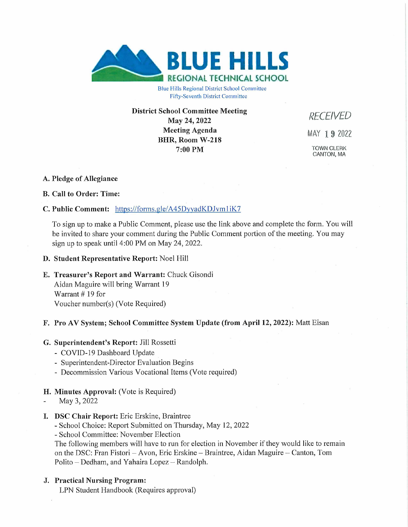

Blue Hills Regional District School Committee Fifty-Seventh District Committee

**District School Committee Meeting May 24, 2022 Meeting Agenda BHR, Room W-218 7:00 PM**

*RECEIVED* MAY 1 9 2022 TOWN CLERK CANTON, MA

# **A. Pledge of Allegiance**

# **B. Call to Order: Time:**

# **C. Public Comment:** <https://forms.gle/A45DvvadKDJvmliK7>

To sign up to make a Public Comment, please use the link above and complete the form. You will be invited to share your comment during the Public Comment portion of the meeting. You may sign up to speak until 4:00 PM on May 24, 2022.

**D. Student Representative Report:** Noel Hill

#### **E. Treasurer's Report and Warrant:** Chuck Gisondi

Aidan Maguire will bring Warrant 19 Warrant # 19 for Voucher number(s) (Vote Required)

#### **F. Pro AV System; School Committee System Update (from April 12, 2022):** Matt Eisan

#### **G. Superintendent's Report:** Jill Rossetti

- COVID-19 Dashboard Update
- Superintendent-Director Evaluation Begins
- Decommission Various Vocational Items (Vote required)

# **H. Minutes Approval:** (Vote is Required)

- May 3, 2022
- **I. DSC Chair Report:** Eric Erskine, Braintree

- School Choice: Report Submitted on Thursday, May 12, 2022

- School Committee: November Election

The following members will have to run for election in November if they would like to remain on the DSC: Fran Fistori – Avon, Eric Erskine – Braintree, Aidan Maguire – Canton, Tom Polito - Dedham, and Yahaira Lopez - Randolph.

# **J. Practical Nursing Program:**

LPN Student Handbook (Requires approval)